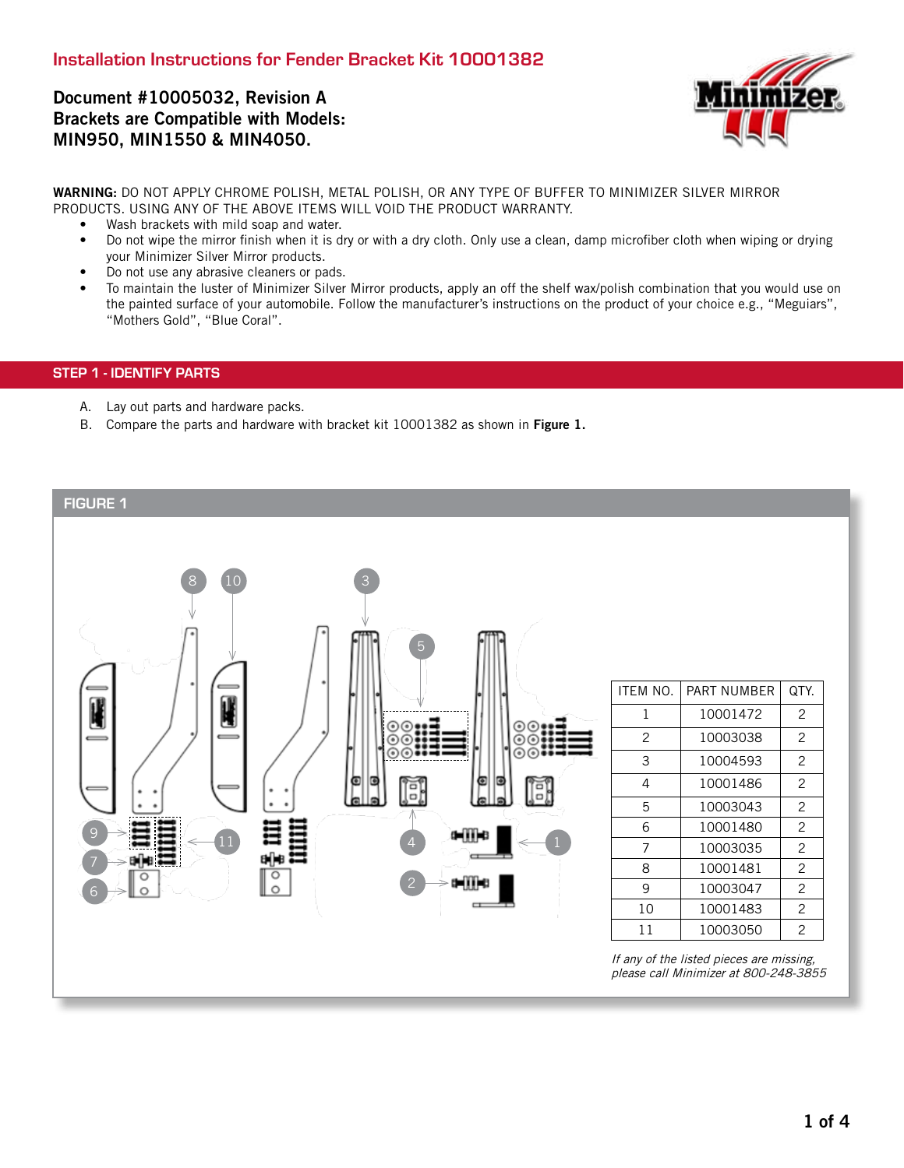# Document #10005032, Revision A Brackets are Compatible with Models: MIN950, MIN1550 & MIN4050.



WARNING: DO NOT APPLY CHROME POLISH, METAL POLISH, OR ANY TYPE OF BUFFER TO MINIMIZER SILVER MIRROR PRODUCTS. USING ANY OF THE ABOVE ITEMS WILL VOID THE PRODUCT WARRANTY.

- Wash brackets with mild soap and water.
- Do not wipe the mirror finish when it is dry or with a dry cloth. Only use a clean, damp microfiber cloth when wiping or drying your Minimizer Silver Mirror products.
- Do not use any abrasive cleaners or pads.
- To maintain the luster of Minimizer Silver Mirror products, apply an off the shelf wax/polish combination that you would use on the painted surface of your automobile. Follow the manufacturer's instructions on the product of your choice e.g., "Meguiars", "Mothers Gold", "Blue Coral".

# STEP 1 - IDENTIFY PARTS

- A. Lay out parts and hardware packs.
- B. Compare the parts and hardware with bracket kit 10001382 as shown in Figure 1.

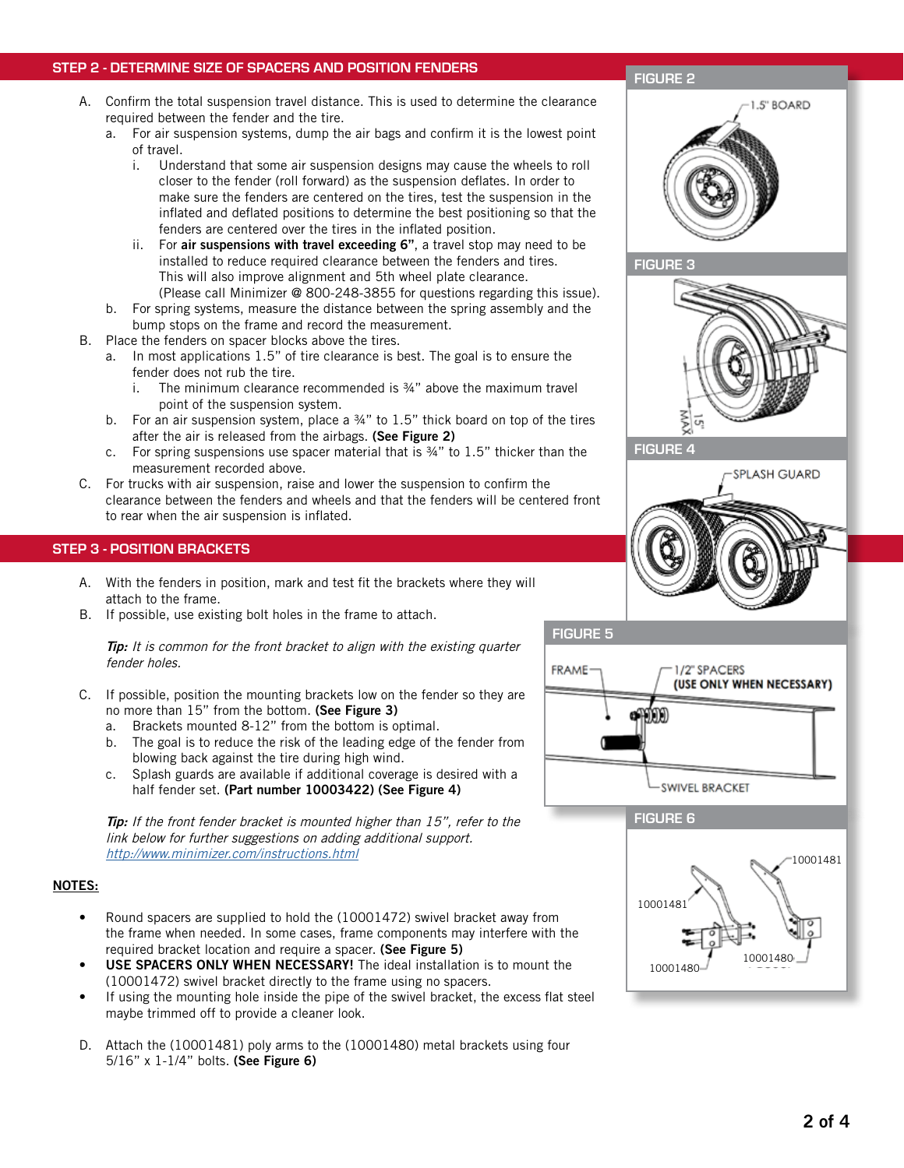# STEP 2 - DETERMINE SIZE OF SPACERS AND POSITION FENDERS

- A. Confirm the total suspension travel distance. This is used to determine the clearance required between the fender and the tire.
	- a. For air suspension systems, dump the air bags and confirm it is the lowest point of travel.
		- i. Understand that some air suspension designs may cause the wheels to roll closer to the fender (roll forward) as the suspension deflates. In order to make sure the fenders are centered on the tires, test the suspension in the inflated and deflated positions to determine the best positioning so that the fenders are centered over the tires in the inflated position.
		- ii. For air suspensions with travel exceeding  $6$ ", a travel stop may need to be installed to reduce required clearance between the fenders and tires. This will also improve alignment and 5th wheel plate clearance. (Please call Minimizer @ 800-248-3855 for questions regarding this issue).
	- b. For spring systems, measure the distance between the spring assembly and the bump stops on the frame and record the measurement.
- B. Place the fenders on spacer blocks above the tires.
	- a. In most applications 1.5" of tire clearance is best. The goal is to ensure the fender does not rub the tire.
		- i. The minimum clearance recommended is  $\frac{3}{4}$ " above the maximum travel point of the suspension system.
	- b. For an air suspension system, place a  $\frac{3}{4}$ " to 1.5" thick board on top of the tires after the air is released from the airbags. (See Figure 2)
	- c. For spring suspensions use spacer material that is  $\frac{3}{4}$ " to 1.5" thicker than the measurement recorded above.
- C. For trucks with air suspension, raise and lower the suspension to confirm the clearance between the fenders and wheels and that the fenders will be centered front to rear when the air suspension is inflated.

### STEP 3 - POSITION BRACKETS

- A. With the fenders in position, mark and test fit the brackets where they will attach to the frame.
- B. If possible, use existing bolt holes in the frame to attach.

**Tip:** It is common for the front bracket to align with the existing quarter fender holes.

- C. If possible, position the mounting brackets low on the fender so they are no more than 15" from the bottom. (See Figure 3)
	- a. Brackets mounted 8-12" from the bottom is optimal.
	- b. The goal is to reduce the risk of the leading edge of the fender from blowing back against the tire during high wind.
	- c. Splash guards are available if additional coverage is desired with a half fender set. (Part number 10003422) (See Figure 4)

**Tip:** If the front fender bracket is mounted higher than 15", refer to the link below for further suggestions on adding additional support. http://www.minimizer.com/instructions.html

# NOTES:

- Round spacers are supplied to hold the (10001472) swivel bracket away from the frame when needed. In some cases, frame components may interfere with the required bracket location and require a spacer. (See Figure 5)
- USE SPACERS ONLY WHEN NECESSARY! The ideal installation is to mount the (10001472) swivel bracket directly to the frame using no spacers.
- If using the mounting hole inside the pipe of the swivel bracket, the excess flat steel maybe trimmed off to provide a cleaner look.
- D. Attach the (10001481) poly arms to the (10001480) metal brackets using four 5/16" x 1-1/4" bolts. (See Figure 6)

# FIGURE 2





FIGURE 4

FIGURE 5





FIGURE 6

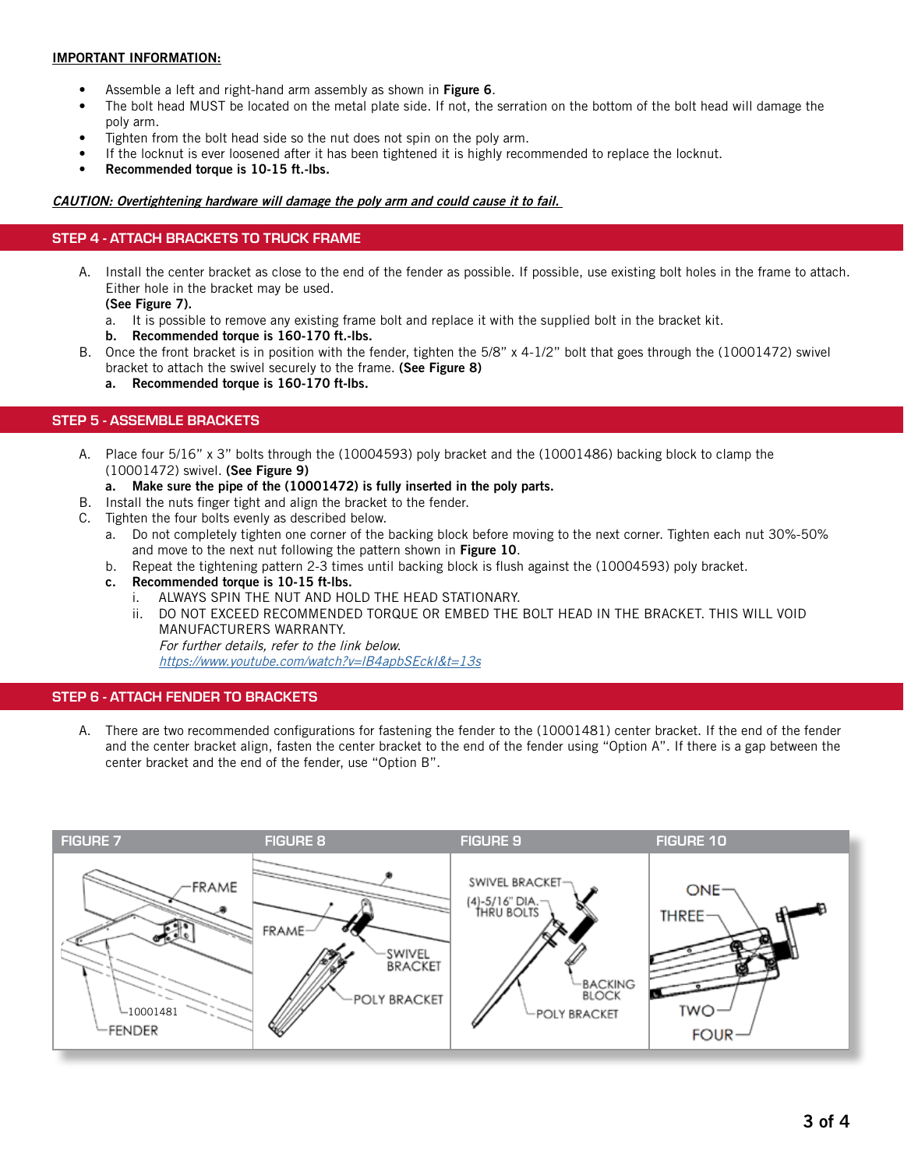# IMPORTANT INFORMATION:

- Assemble a left and right-hand arm assembly as shown in Figure 6.
- The bolt head MUST be located on the metal plate side. If not, the serration on the bottom of the bolt head will damage the poly arm.
- Tighten from the bolt head side so the nut does not spin on the poly arm.
- If the locknut is ever loosened after it has been tightened it is highly recommended to replace the locknut.
- Recommended torque is 10-15 ft.-lbs.

### CAUTION: Overtightening hardware will damage the poly arm and could cause it to fail.

# STEP 4 - ATTACH BRACKETS TO TRUCK FRAME

- A. Install the center bracket as close to the end of the fender as possible. If possible, use existing bolt holes in the frame to attach. Either hole in the bracket may be used.
	- (See Figure 7).
	- a. It is possible to remove any existing frame bolt and replace it with the supplied bolt in the bracket kit.
	- b. Recommended torque is 160-170 ft.-lbs.
- B. Once the front bracket is in position with the fender, tighten the 5/8" x 4-1/2" bolt that goes through the (10001472) swivel bracket to attach the swivel securely to the frame. (See Figure 8)
	- a. Recommended torque is 160-170 ft-lbs.

# STEP 5 - ASSEMBLE BRACKETS

- A. Place four 5/16" x 3" bolts through the (10004593) poly bracket and the (10001486) backing block to clamp the (10001472) swivel. (See Figure 9)
	- a. Make sure the pipe of the (10001472) is fully inserted in the poly parts.
- B. Install the nuts finger tight and align the bracket to the fender.
- C. Tighten the four bolts evenly as described below.
	- a. Do not completely tighten one corner of the backing block before moving to the next corner. Tighten each nut 30%-50% and move to the next nut following the pattern shown in Figure 10.
	- b. Repeat the tightening pattern 2-3 times until backing block is flush against the (10004593) poly bracket.
	- c. Recommended torque is 10-15 ft-lbs.
		- i. ALWAYS SPIN THE NUT AND HOLD THE HEAD STATIONARY.
		- ii. DO NOT EXCEED RECOMMENDED TORQUE OR EMBED THE BOLT HEAD IN THE BRACKET. THIS WILL VOID MANUFACTURERS WARRANTY.

For further details, refer to the link below.

<https://www.youtube.com/watch?v=lB4apbSEckI&t=13s>

# STEP 6 - ATTACH FENDER TO BRACKETS

A. There are two recommended configurations for fastening the fender to the (10001481) center bracket. If the end of the fender and the center bracket align, fasten the center bracket to the end of the fender using "Option A". If there is a gap between the center bracket and the end of the fender, use "Option B".